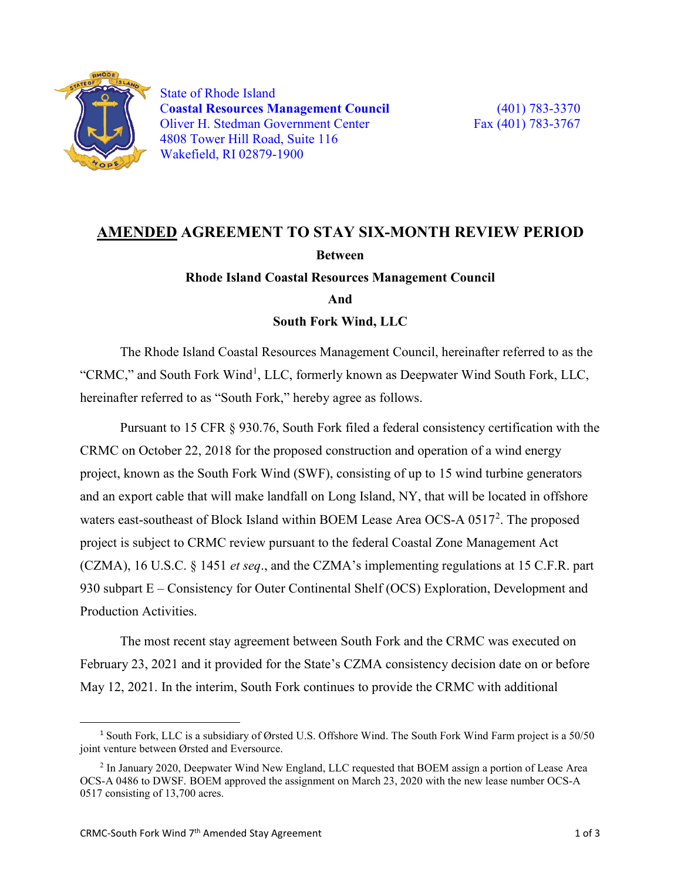

 State of Rhode Island C**oastal Resources Management Council** (401) 783-3370 Oliver H. Stedman Government Center Fax (401) 783-3767 4808 Tower Hill Road, Suite 116 Wakefield, RI 02879-1900

## **AMENDED AGREEMENT TO STAY SIX-MONTH REVIEW PERIOD Between Rhode Island Coastal Resources Management Council**

**And**

**South Fork Wind, LLC**

The Rhode Island Coastal Resources Management Council, hereinafter referred to as the "CRMC," and South Fork Wind<sup>[1](#page-0-0)</sup>, LLC, formerly known as Deepwater Wind South Fork, LLC, hereinafter referred to as "South Fork," hereby agree as follows.

Pursuant to 15 CFR § 930.76, South Fork filed a federal consistency certification with the CRMC on October 22, 2018 for the proposed construction and operation of a wind energy project, known as the South Fork Wind (SWF), consisting of up to 15 wind turbine generators and an export cable that will make landfall on Long Island, NY, that will be located in offshore waters east-southeast of Block Island within BOEM Lease Area OCS-A  $0517^2$  $0517^2$ . The proposed project is subject to CRMC review pursuant to the federal Coastal Zone Management Act (CZMA), 16 U.S.C. § 1451 *et seq*., and the CZMA's implementing regulations at 15 C.F.R. part 930 subpart E – Consistency for Outer Continental Shelf (OCS) Exploration, Development and Production Activities.

The most recent stay agreement between South Fork and the CRMC was executed on February 23, 2021 and it provided for the State's CZMA consistency decision date on or before May 12, 2021. In the interim, South Fork continues to provide the CRMC with additional

<span id="page-0-0"></span> <sup>1</sup> South Fork, LLC is a subsidiary of Ørsted U.S. Offshore Wind. The South Fork Wind Farm project is a 50/50 joint venture between Ørsted and Eversource.

<span id="page-0-1"></span><sup>2</sup> In January 2020, Deepwater Wind New England, LLC requested that BOEM assign a portion of Lease Area OCS-A 0486 to DWSF. BOEM approved the assignment on March 23, 2020 with the new lease number OCS-A 0517 consisting of 13,700 acres.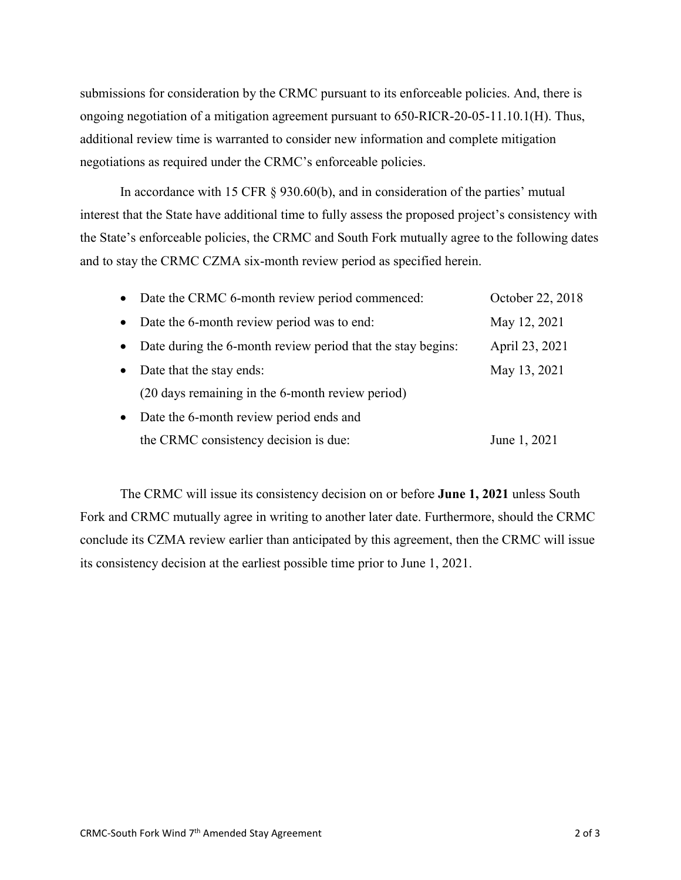submissions for consideration by the CRMC pursuant to its enforceable policies. And, there is ongoing negotiation of a mitigation agreement pursuant to 650-RICR-20-05-11.10.1(H). Thus, additional review time is warranted to consider new information and complete mitigation negotiations as required under the CRMC's enforceable policies.

In accordance with 15 CFR § 930.60(b), and in consideration of the parties' mutual interest that the State have additional time to fully assess the proposed project's consistency with the State's enforceable policies, the CRMC and South Fork mutually agree to the following dates and to stay the CRMC CZMA six-month review period as specified herein.

|           | • Date the CRMC 6-month review period commenced:            | October 22, 2018 |
|-----------|-------------------------------------------------------------|------------------|
| $\bullet$ | Date the 6-month review period was to end:                  | May 12, 2021     |
| $\bullet$ | Date during the 6-month review period that the stay begins: | April 23, 2021   |
| $\bullet$ | Date that the stay ends:                                    | May 13, 2021     |
|           | (20 days remaining in the 6-month review period)            |                  |
| $\bullet$ | Date the 6-month review period ends and                     |                  |
|           | the CRMC consistency decision is due:                       | June 1, 2021     |

The CRMC will issue its consistency decision on or before **June 1, 2021** unless South Fork and CRMC mutually agree in writing to another later date. Furthermore, should the CRMC conclude its CZMA review earlier than anticipated by this agreement, then the CRMC will issue its consistency decision at the earliest possible time prior to June 1, 2021.